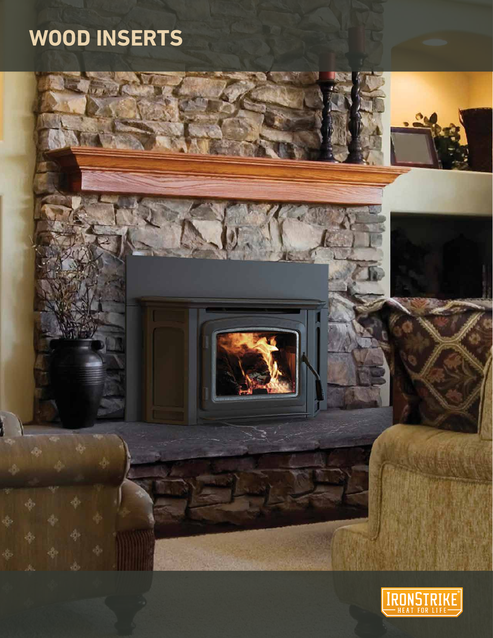# **WOOD INSERTS**



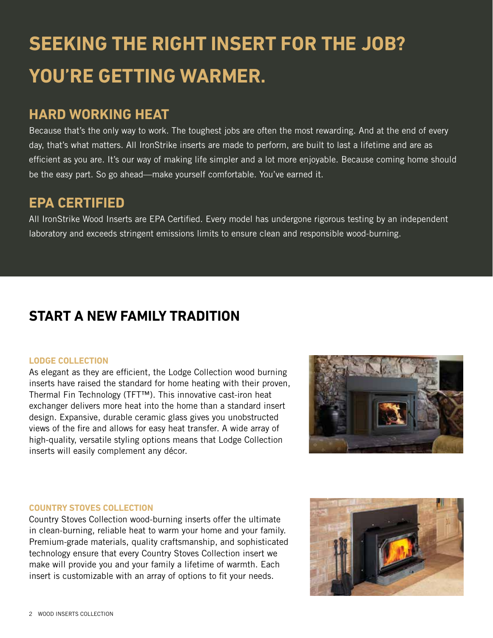# **SEEKING THE RIGHT INSERT FOR THE JOB? YOU'RE GETTING WARMER.**

### **HARD WORKING HEAT**

Because that's the only way to work. The toughest jobs are often the most rewarding. And at the end of every day, that's what matters. All IronStrike inserts are made to perform, are built to last a lifetime and are as efficient as you are. It's our way of making life simpler and a lot more enjoyable. Because coming home should be the easy part. So go ahead—make yourself comfortable. You've earned it.

### **EPA CERTIFIED**

All IronStrike Wood Inserts are EPA Certified. Every model has undergone rigorous testing by an independent laboratory and exceeds stringent emissions limits to ensure clean and responsible wood-burning.

### **START A NEW FAMILY TRADITION**

### **LODGE COLLECTION**

As elegant as they are efficient, the Lodge Collection wood burning inserts have raised the standard for home heating with their proven, Thermal Fin Technology (TFT™). This innovative cast-iron heat exchanger delivers more heat into the home than a standard insert design. Expansive, durable ceramic glass gives you unobstructed views of the fire and allows for easy heat transfer. A wide array of high-quality, versatile styling options means that Lodge Collection inserts will easily complement any décor.



### **COUNTRY STOVES COLLECTION**

Country Stoves Collection wood-burning inserts offer the ultimate in clean-burning, reliable heat to warm your home and your family. Premium-grade materials, quality craftsmanship, and sophisticated technology ensure that every Country Stoves Collection insert we make will provide you and your family a lifetime of warmth. Each insert is customizable with an array of options to fit your needs.

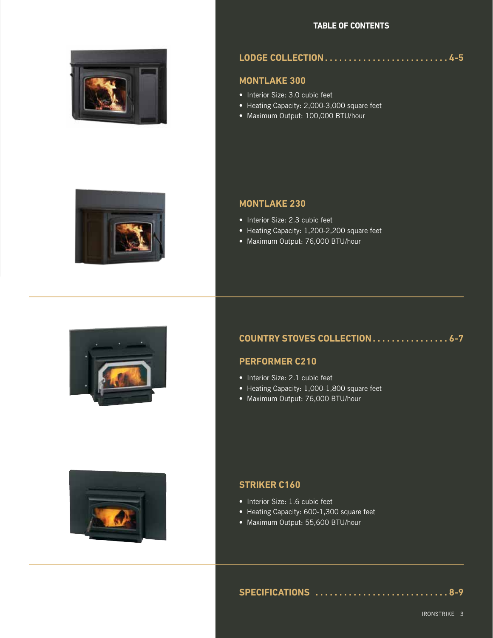#### **TABLE OF CONTENTS**



### **LODGE COLLECTION . . . . . . . . . . . . . . . . . . . . . . . . . . 4-5**

#### **MONTLAKE 300**

- Interior Size: 3.0 cubic feet
- Heating Capacity: 2,000-3,000 square feet
- Maximum Output: 100,000 BTU/hour

### **MONTLAKE 230**

- Interior Size: 2.3 cubic feet
- Heating Capacity: 1,200-2,200 square feet
- Maximum Output: 76,000 BTU/hour



### **COUNTRY STOVES COLLECTION . . . . . . . . . . . . . . . . 6-7**

### **PERFORMER C210**

- Interior Size: 2.1 cubic feet
- Heating Capacity: 1,000-1,800 square feet
- Maximum Output: 76,000 BTU/hour



#### **STRIKER C160**

- Interior Size: 1.6 cubic feet
- Heating Capacity: 600-1,300 square feet
- Maximum Output: 55,600 BTU/hour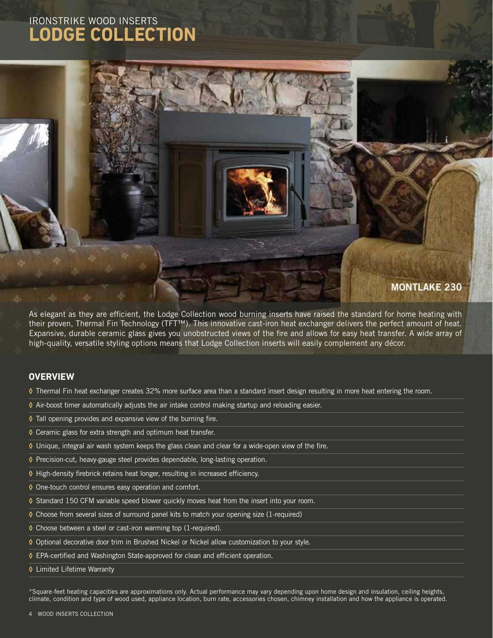### IRONSTRIKE WOOD INSERTS **LODGE COLLECTION**



As elegant as they are efficient, the Lodge Collection wood burning inserts have raised the standard for home heating with their proven, Thermal Fin Technology (TFT™). This innovative cast-iron heat exchanger delivers the perfect amount of heat. Expansive, durable ceramic glass gives you unobstructed views of the fire and allows for easy heat transfer. A wide array of high-quality, versatile styling options means that Lodge Collection inserts will easily complement any décor.

#### **OVERVIEW**

- **◊** Thermal Fin heat exchanger creates 32% more surface area than a standard insert design resulting in more heat entering the room.
- **◊** Air-boost timer automatically adjusts the air intake control making startup and reloading easier.
- **◊** Tall opening provides and expansive view of the burning fire.
- **◊** Ceramic glass for extra strength and optimum heat transfer.
- **◊** Unique, integral air wash system keeps the glass clean and clear for a wide-open view of the fire.
- **◊** Precision-cut, heavy-gauge steel provides dependable, long-lasting operation.
- **◊** High-density firebrick retains heat longer, resulting in increased efficiency.
- **◊** One-touch control ensures easy operation and comfort.
- **◊** Standard 150 CFM variable speed blower quickly moves heat from the insert into your room.
- **◊** Choose from several sizes of surround panel kits to match your opening size (1-required)
- **◊** Choose between a steel or cast-iron warming top (1-required).
- **◊** Optional decorative door trim in Brushed Nickel or Nickel allow customization to your style.
- **◊** EPA-certified and Washington State-approved for clean and efficient operation.
- **◊** Limited Lifetime Warranty

\*Square-feet heating capacities are approximations only. Actual performance may vary depending upon home design and insulation, ceiling heights, climate, condition and type of wood used, appliance location, burn rate, accessories chosen, chimney installation and how the appliance is operated.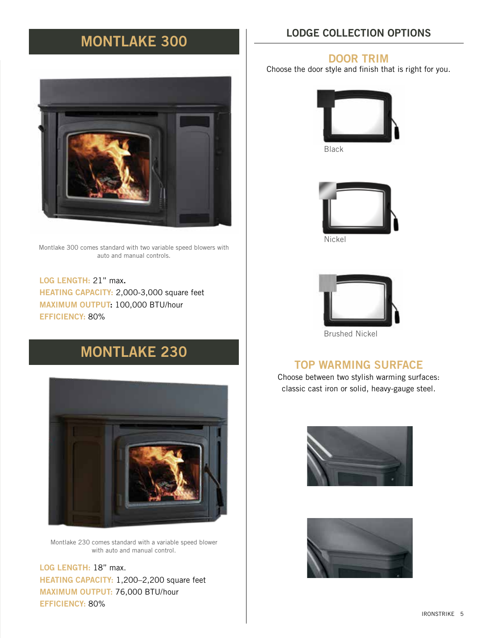### MONTLAKE 300

Montlake 300 comes standard with two variable speed blowers with auto and manual controls.

LOG LENGTH: 21" max. HEATING CAPACITY: 2,000-3,000 square feet MAXIMUM OUTPUT: 100,000 BTU/hour EFFICIENCY: 80%

### MONTLAKE 230



Montlake 230 comes standard with a variable speed blower with auto and manual control.

LOG LENGTH: 18" max. HEATING CAPACITY: 1,200–2,200 square feet MAXIMUM OUTPUT: 76,000 BTU/hour EFFICIENCY: 80%

### LODGE COLLECTION OPTIONS

### DOOR TRIM

Choose the door style and finish that is right for you.









Brushed Nickel

### TOP WARMING SURFACE

Choose between two stylish warming surfaces: classic cast iron or solid, heavy-gauge steel.



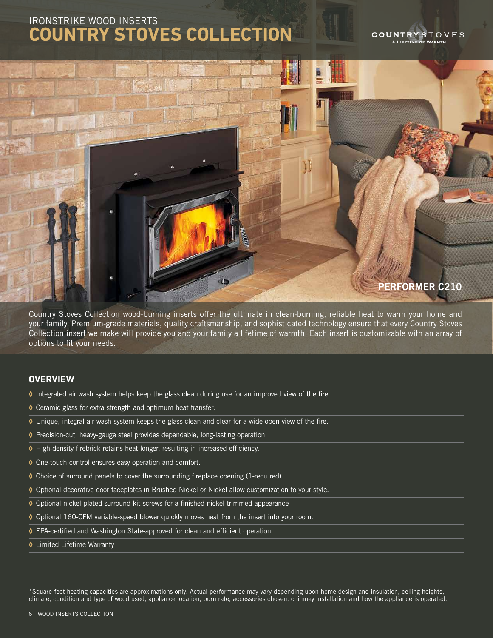### IRONSTRIKE WOOD INSERTS **COUNTRY STOVES COLLECTION**

#### COUNTRY STOVES LIFFTIME OF WARMTH



Country Stoves Collection wood-burning inserts offer the ultimate in clean-burning, reliable heat to warm your home and your family. Premium-grade materials, quality craftsmanship, and sophisticated technology ensure that every Country Stoves Collection insert we make will provide you and your family a lifetime of warmth. Each insert is customizable with an array of options to fit your needs.

#### **OVERVIEW**

- **◊** Integrated air wash system helps keep the glass clean during use for an improved view of the fire.
- **◊** Ceramic glass for extra strength and optimum heat transfer.
- **◊** Unique, integral air wash system keeps the glass clean and clear for a wide-open view of the fire.
- **◊** Precision-cut, heavy-gauge steel provides dependable, long-lasting operation.
- **◊** High-density firebrick retains heat longer, resulting in increased efficiency.
- **◊** One-touch control ensures easy operation and comfort.
- **◊** Choice of surround panels to cover the surrounding fireplace opening (1-required).
- **◊** Optional decorative door faceplates in Brushed Nickel or Nickel allow customization to your style.
- **◊** Optional nickel-plated surround kit screws for a finished nickel trimmed appearance
- **◊** Optional 160-CFM variable-speed blower quickly moves heat from the insert into your room.
- **◊** EPA-certified and Washington State-approved for clean and efficient operation.
- **◊** Limited Lifetime Warranty

\*Square-feet heating capacities are approximations only. Actual performance may vary depending upon home design and insulation, ceiling heights, climate, condition and type of wood used, appliance location, burn rate, accessories chosen, chimney installation and how the appliance is operated.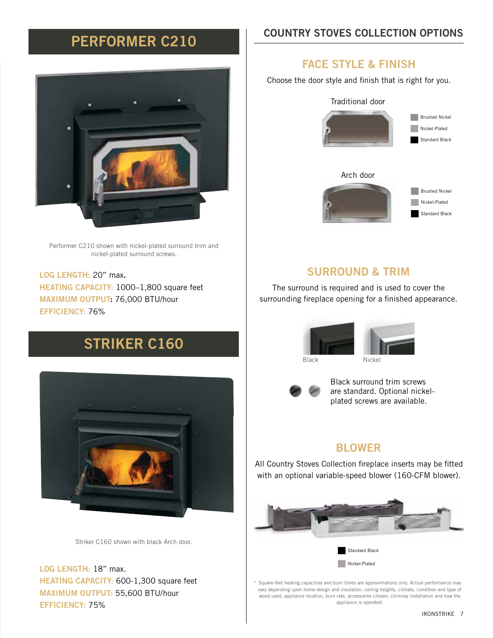### PERFORMER C210

Performer C210 shown with nickel-plated surround trim and nickel-plated surround screws.

LOG LENGTH: 20" max. HEATING CAPACITY: 1000–1,800 square feet MAXIMUM OUTPUT: 76,000 BTU/hour EFFICIENCY: 76%

## STRIKER C160



Striker C160 shown with black Arch door.

LOG LENGTH: 18" max. HEATING CAPACITY: 600-1,300 square feet MAXIMUM OUTPUT: 55,600 BTU/hour EFFICIENCY: 75%

### COUNTRY STOVES COLLECTION OPTIONS

### FACE STYLE & FINISH

Choose the door style and finish that is right for you.



### SURROUND & TRIM

The surround is required and is used to cover the surrounding fireplace opening for a finished appearance.







Black surround trim screws are standard. Optional nickelplated screws are available.

### BLOWER

All Country Stoves Collection fireplace inserts may be fitted with an optional variable-speed blower (160-CFM blower).



Square-feet heating capacities and burn times are approximations only. Actual performance may vary depending upon home design and insulation, ceiling heights, climate, condition and type of wood used, appliance location, burn rate, accessories chosen, chimney installation and how the appliance is operated.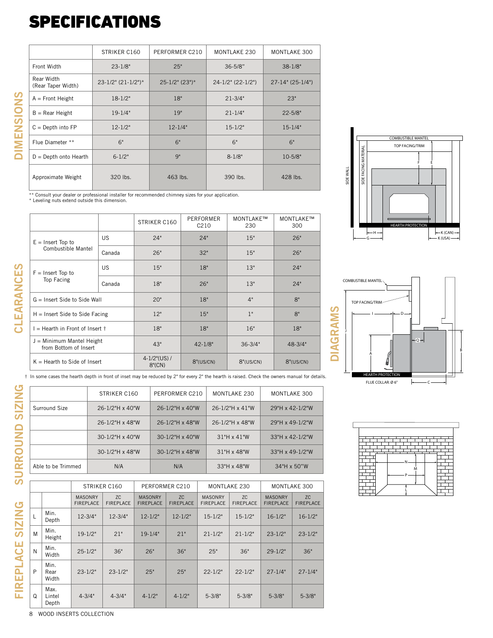## SPECIFICATIONS

|                                  | STRIKER C160<br>PERFORMER C210<br>MONTLAKE 230 |                     | MONTLAKE 300        |                     |
|----------------------------------|------------------------------------------------|---------------------|---------------------|---------------------|
| Front Width                      | $23 - 1/8"$                                    | 25"                 | $36 - 5/8"$         | $38 - 1/8"$         |
| Rear Width<br>(Rear Taper Width) | $23-1/2$ " $(21-1/2")^*$                       | $25 - 1/2$ " (23")* | $24-1/2"$ (22-1/2") | $27-14$ " (25-1/4") |
| $A =$ Front Height               | $18 - 1/2"$                                    | 18"                 | $21 - 3/4"$         | 23"                 |
| $B =$ Rear Height                | $19 - 1/4"$                                    | 19"                 | $21 - 1/4"$         | $22 - 5/8"$         |
| $C = Depth$ into $FP$            | $12 - 1/2"$                                    | $12 - 1/4"$         | $15 - 1/2"$         | $15 - 1/4"$         |
| Flue Diameter **                 | 6"                                             | 6"                  | 6"                  | 6"                  |
| $D =$ Depth onto Hearth          | $6 - 1/2"$                                     | Q <sub>II</sub>     | $8 - 1/8"$          | $10 - 5/8"$         |
| Approximate Weight               | 320 lbs.                                       | 463 lbs.            | 390 lbs.            | 428 lbs.            |

 $\overline{\phantom{a}}$ 

\*\* Consult your dealer or professional installer for recommended chimney sizes for your application.<br>\* Leveling nuts extend outside this dimension.

|                                                      |           | STRIKER C160                   | PERFORMER<br>C <sub>210</sub> | MONTLAKE™<br>230 | MONTLAKE™<br>300 | <b>HEARTH PROTECTION</b>  |
|------------------------------------------------------|-----------|--------------------------------|-------------------------------|------------------|------------------|---------------------------|
| $E =$ Insert Top to<br><b>Combustible Mantel</b>     | <b>US</b> | 24"                            | 24"                           | 15"              | 26"              | $-$ H $-$                 |
|                                                      | Canada    | 26"                            | 32"                           | 15"              | 26"              |                           |
| $F =$ Insert Top to                                  | <b>US</b> | 15"                            | 18"                           | 13"              | 24"              |                           |
| Top Facing                                           | Canada    | 18"                            | 26"                           | 13"              | 24"              | <b>COMBUSTIBLE MANTEL</b> |
| $G =$ Insert Side to Side Wall                       |           | 20"                            | 18"                           | 4"               | 8"               | TOP FACING/TRIM           |
| $H =$ Insert Side to Side Facing                     |           | 12"                            | 15"                           | 1"               | 8"               | ທ<br>Σ                    |
| I = Hearth in Front of Insert †                      |           | 18"                            | 18"                           | 16"              | 18"              | ⋖<br>$\mathbf{r}$         |
| $J =$ Minimum Mantel Height<br>from Bottom of Insert |           | 43"                            | $42 - 1/8"$                   | $36 - 3/4"$      | $48 - 3/4"$      | G<br>⋖                    |
| $K =$ Hearth to Side of Insert                       |           | $4 - 1/2$ "(US) /<br>$8"$ (CN) | 8"(US/CN)                     | 8"(US/CN)        | 8''(US/CN)       | $\Box$                    |





 L M N P

| t In some cases the hearth depth in front of inset may be reduced by 2" for every 2" the hearth is raised. Check the owners manual for details. |  |
|-------------------------------------------------------------------------------------------------------------------------------------------------|--|
|-------------------------------------------------------------------------------------------------------------------------------------------------|--|

|                    | STRIKER C160       | PERFORMER C210       | MONTLAKE 230         | MONTLAKE 300    |
|--------------------|--------------------|----------------------|----------------------|-----------------|
| Surround Size      | 26-1/2"H x 40"W    | $26 - 1/2$ "H x 40"W | $26 - 1/2$ "H x 41"W | 29"H x 42-1/2"W |
|                    | 26-1/2"H x 48"W    | 26-1/2"H x 48"W      | 26-1/2"H x 48"W      | 29"H x 49-1/2"W |
|                    | $30-1/2$ "H x 40"W | $30-1/2$ "H x 40"W   | 31"H x 41"W          | 33"H x 42-1/2"W |
|                    | $30-1/2$ "H x 48"W | $30-1/2$ "H x 48"W   | 31"H x 48"W          | 33"H x 49-1/2"W |
| Able to be Trimmed | N/A                | N/A                  | 33"H x 48"W          | 34"H x 50"W     |

|          |                         | STRIKER C160                       |                         | PERFORMER C210                     |                        | <b>MONTLAKE 230</b>                |                        | MONTLAKE 300                       |                        |
|----------|-------------------------|------------------------------------|-------------------------|------------------------------------|------------------------|------------------------------------|------------------------|------------------------------------|------------------------|
|          |                         | <b>MASONRY</b><br><b>FIREPLACE</b> | ZC.<br><b>FIREPLACE</b> | <b>MASONRY</b><br><b>FIREPLACE</b> | ZC<br><b>FIREPLACE</b> | <b>MASONRY</b><br><b>FIREPLACE</b> | ZC<br><b>FIREPLACE</b> | <b>MASONRY</b><br><b>FIREPLACE</b> | ZC<br><b>FIREPLACE</b> |
| L        | Min.<br>Depth           | $12 - 3/4"$                        | $12 - 3/4"$             | $12 - 1/2"$                        | $12 - 1/2"$            | $15 - 1/2"$                        | $15 - 1/2"$            | $16 - 1/2"$                        | $16 - 1/2"$            |
| M        | Min.<br>Height          | $19-1/2"$                          | 21"                     | $19-1/4"$                          | 21"                    | $21 - 1/2"$                        | $21 - 1/2"$            | $23 - 1/2"$                        | $23 - 1/2"$            |
| N        | Min.<br>Width           | $25 - 1/2"$                        | 36"                     | 26"                                | 36"                    | 25"                                | 36"                    | $29 - 1/2"$                        | 36"                    |
| P        | Min.<br>Rear<br>Width   | $23 - 1/2"$                        | $23 - 1/2"$             | 25"                                | 25"                    | $22 - 1/2"$                        | $22 - 1/2"$            | $27 - 1/4"$                        | $27 - 1/4"$            |
| $\Omega$ | Max.<br>Lintel<br>Depth | $4 - 3/4"$                         | $4 - 3/4"$              | $4 - 1/2"$                         | $4 - 1/2"$             | $5 - 3/8"$                         | $5 - 3/8"$             | $5 - 3/8"$                         | $5 - 3/8"$             |

8 WOOD INSERTS COLLECTION

SURROUND SIZING

FIREPLACE SIZING

DIMENSIONS

**DIMENSIONS**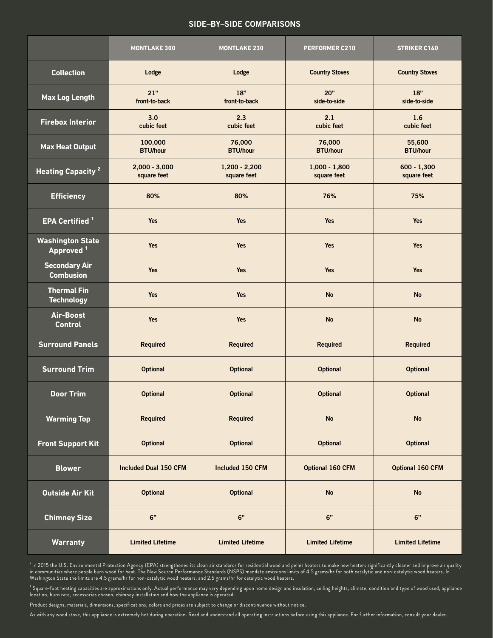#### SIDE–BY–SIDE COMPARISONS

|                                                  | <b>MONTLAKE 300</b>            | <b>MONTLAKE 230</b>            | PERFORMER C210                 | <b>STRIKER C160</b>          |
|--------------------------------------------------|--------------------------------|--------------------------------|--------------------------------|------------------------------|
| <b>Collection</b>                                | Lodge                          | Lodge                          | <b>Country Stoves</b>          | <b>Country Stoves</b>        |
| <b>Max Log Length</b>                            | 21"<br>front-to-back           | 18"<br>front-to-back           | 20"<br>side-to-side            | 18"<br>side-to-side          |
| <b>Firebox Interior</b>                          | 3.0<br>cubic feet              | 2.3<br>cubic feet              | 2.1<br>cubic feet              | 1.6<br>cubic feet            |
| <b>Max Heat Output</b>                           | 100,000<br><b>BTU/hour</b>     | 76,000<br><b>BTU/hour</b>      | 76,000<br><b>BTU/hour</b>      | 55,600<br><b>BTU/hour</b>    |
| <b>Heating Capacity<sup>2</sup></b>              | $2,000 - 3,000$<br>square feet | $1,200 - 2,200$<br>square feet | $1,000 - 1,800$<br>square feet | $600 - 1,300$<br>square feet |
| <b>Efficiency</b>                                | 80%                            | 80%                            | 76%                            | 75%                          |
| <b>EPA Certified</b> <sup>1</sup>                | <b>Yes</b>                     | <b>Yes</b>                     | Yes                            | Yes                          |
| <b>Washington State</b><br>Approved <sup>1</sup> | <b>Yes</b>                     | Yes                            | Yes                            | Yes                          |
| <b>Secondary Air</b><br><b>Combusion</b>         | <b>Yes</b>                     | <b>Yes</b>                     | Yes                            | Yes                          |
| <b>Thermal Fin</b><br><b>Technology</b>          | Yes                            | <b>Yes</b>                     | <b>No</b>                      | <b>No</b>                    |
| Air-Boost<br><b>Control</b>                      | <b>Yes</b>                     | <b>Yes</b>                     | <b>No</b>                      | <b>No</b>                    |
| <b>Surround Panels</b>                           | <b>Required</b>                | Required                       | Required                       | <b>Required</b>              |
| <b>Surround Trim</b>                             | <b>Optional</b>                | <b>Optional</b>                | <b>Optional</b>                | <b>Optional</b>              |
| <b>Door Trim</b>                                 | <b>Optional</b>                | <b>Optional</b>                | <b>Optional</b>                | <b>Optional</b>              |
| <b>Warming Top</b>                               | <b>Required</b>                | Required                       | <b>No</b>                      | <b>No</b>                    |
| <b>Front Support Kit</b>                         | <b>Optional</b>                | <b>Optional</b>                | <b>Optional</b>                | <b>Optional</b>              |
| <b>Blower</b>                                    | Included Dual 150 CFM          | Included 150 CFM               | Optional 160 CFM               | <b>Optional 160 CFM</b>      |
| <b>Outside Air Kit</b>                           | <b>Optional</b>                | <b>Optional</b>                | <b>No</b>                      | <b>No</b>                    |
| <b>Chimney Size</b>                              | 6"                             | 6"                             | 6"                             | 6"                           |
| <b>Warranty</b>                                  | <b>Limited Lifetime</b>        | <b>Limited Lifetime</b>        | <b>Limited Lifetime</b>        | <b>Limited Lifetime</b>      |

' In 2015 the U.S. Environmental Protection Agency (EPA) strengthened its clean air standards for residential wood and pellet heaters to make new heaters significantly cleaner and improve air quality in communities where people burn wood for heat. The New Source Performance Standards (NSPS) mandate emissions limits of 4.5 grams/hr for both catalytic and non-catalytic wood heaters. In Washington State the limits are 4.5 grams/hr for non-catalytic wood heaters, and 2.5 grams/hr for catalytic wood heaters.

² Square-foot heating capacities are approximations only. Actual performance may vary depending upon home design and insulation, ceiling heights, climate, condition and type of wood used, appliance location, burn rate, accessories chosen, chimney installation and how the appliance is operated.

Product designs, materials, dimensions, specifications, colors and prices are subject to change or discontinuance without notice.

As with any wood stove, this appliance is extremely hot during operation. Read and understand all operating instructions before using this appliance. For further information, consult your dealer.